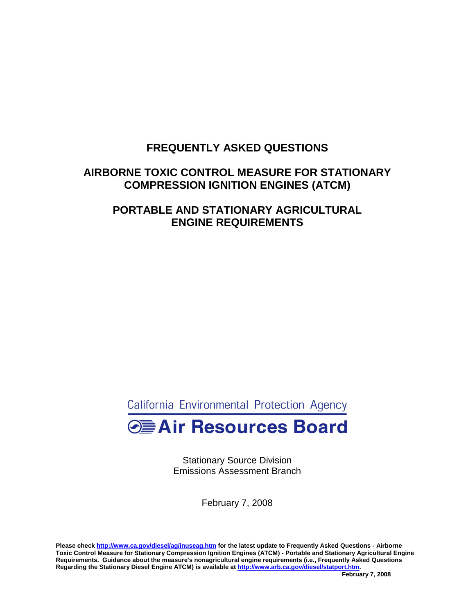# **FREQUENTLY ASKED QUESTIONS**

# **AIRBORNE TOXIC CONTROL MEASURE FOR STATIONARY COMPRESSION IGNITION ENGINES (ATCM)**

# **PORTABLE AND STATIONARY AGRICULTURAL ENGINE REQUIREMENTS**

California Environmental Protection Agency

# **Example 2 Air Resources Board**

 Stationary Source Division Emissions Assessment Branch

February 7, 2008

 **Please check <http://www.ca.gov/diesel/ag/inuseag.htm>for the latest update to Frequently Asked Questions - Airborne Regarding the Stationary Diesel Engine ATCM) is available at<http://www.arb.ca.gov/diesel/statport.htm>. Toxic Control Measure for Stationary Compression Ignition Engines (ATCM) - Portable and Stationary Agricultural Engine Requirements. Guidance about the measure's nonagricultural engine requirements (i.e., Frequently Asked Questions**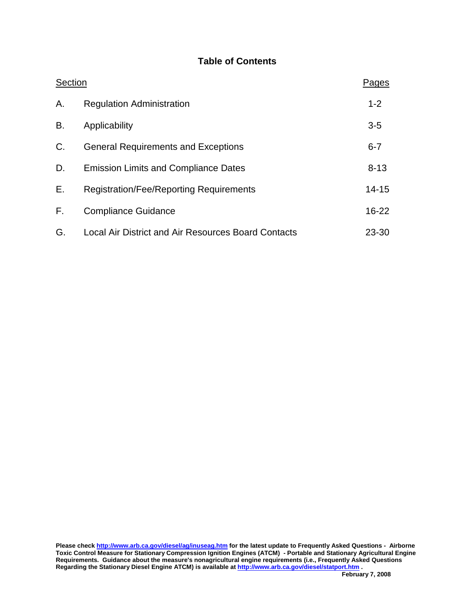# **Table of Contents**

| Section |                                                     | Pages     |
|---------|-----------------------------------------------------|-----------|
| Α.      | <b>Regulation Administration</b>                    | $1 - 2$   |
| В.      | Applicability                                       | $3-5$     |
| C.      | <b>General Requirements and Exceptions</b>          | $6 - 7$   |
| D.      | <b>Emission Limits and Compliance Dates</b>         | $8 - 13$  |
| E.      | <b>Registration/Fee/Reporting Requirements</b>      | $14 - 15$ |
| F.      | <b>Compliance Guidance</b>                          | $16 - 22$ |
| G.      | Local Air District and Air Resources Board Contacts | $23 - 30$ |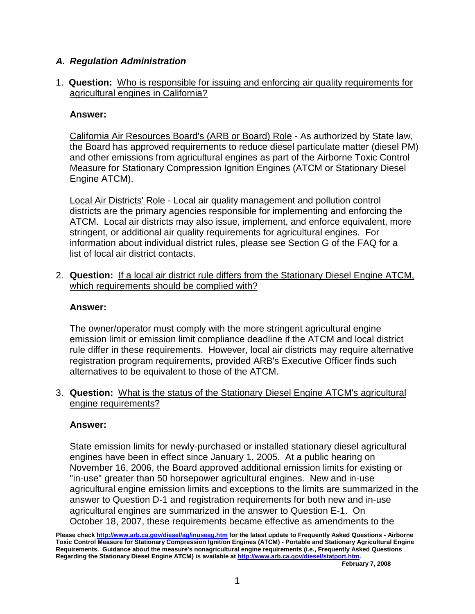# **A. Regulation Administration**

 1. **Question:** Who is responsible for issuing and enforcing air quality requirements for agricultural engines in California?

# **Answer:**

California Air Resources Board's (ARB or Board) Role - As authorized by State law, the Board has approved requirements to reduce diesel particulate matter (diesel PM) and other emissions from agricultural engines as part of the Airborne Toxic Control Measure for Stationary Compression Ignition Engines (ATCM or Stationary Diesel Engine ATCM).

 stringent, or additional air quality requirements for agricultural engines. For information about individual district rules, please see Section G of the FAQ for a Local Air Districts' Role - Local air quality management and pollution control districts are the primary agencies responsible for implementing and enforcing the ATCM. Local air districts may also issue, implement, and enforce equivalent, more list of local air district contacts.

 2. **Question:** If a local air district rule differs from the Stationary Diesel Engine ATCM, which requirements should be complied with?

# **Answer:**

 emission limit or emission limit compliance deadline if the ATCM and local district registration program requirements, provided ARB's Executive Officer finds such alternatives to be equivalent to those of the ATCM. The owner/operator must comply with the more stringent agricultural engine rule differ in these requirements. However, local air districts may require alternative

 3. **Question:** What is the status of the Stationary Diesel Engine ATCM's agricultural engine requirements?

# **Answer:**

 State emission limits for newly-purchased or installed stationary diesel agricultural engines have been in effect since January 1, 2005. At a public hearing on November 16, 2006, the Board approved additional emission limits for existing or "in-use" greater than 50 horsepower agricultural engines. New and in-use agricultural engine emission limits and exceptions to the limits are summarized in the answer to Question D-1 and registration requirements for both new and in-use agricultural engines are summarized in the answer to Question E-1. On October 18, 2007, these requirements became effective as amendments to the

 **Please check <http://www.arb.ca.gov/diesel/ag/inuseag.htm>for the latest update to Frequently Asked Questions - Airborne Toxic Control Measure for Stationary Compression Ignition Engines (ATCM) - Portable and Stationary Agricultural Engine Requirements. Guidance about the measure's nonagricultural engine requirements (i.e., Frequently Asked Questions Regarding the Stationary Diesel Engine ATCM) is available at<http://www.arb.ca.gov/diesel/statport.htm>.**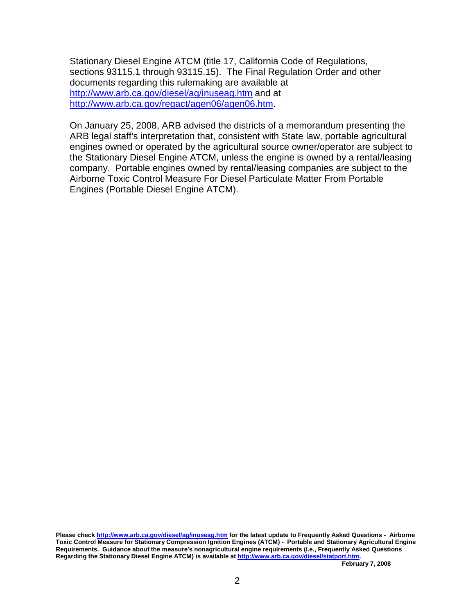Stationary Diesel Engine ATCM (title 17, California Code of Regulations, sections 93115.1 through [93115.15](https://93115.15)). The Final Regulation Order and other documents regarding this rulemaking are available at <http://www.arb.ca.gov/diesel/ag/inuseag.htm> and at http://www.arb.ca.gov/regact/agen06/agen06.htm.

<u><http://www.arb.ca.gov/regact/agen06/agen06.htm></u>.<br>On January 25, 2008, ARB advised the districts of a memorandum presenting the ARB legal staff's interpretation that, consistent with State law, portable agricultural engines owned or operated by the agricultural source owner/operator are subject to the Stationary Diesel Engine ATCM, unless the engine is owned by a rental/leasing company. Portable engines owned by rental/leasing companies are subject to the Airborne Toxic Control Measure For Diesel Particulate Matter From Portable Engines (Portable Diesel Engine ATCM).

 **Please check <http://www.arb.ca.gov/diesel/ag/inuseag.htm>for the latest update to Frequently Asked Questions - Airborne Toxic Control Measure for Stationary Compression Ignition Engines (ATCM) - Portable and Stationary Agricultural Engine Requirements. Guidance about the measure's nonagricultural engine requirements (i.e., Frequently Asked Questions Regarding the Stationary Diesel Engine ATCM) is available at<http://www.arb.ca.gov/diesel/statport.htm>.**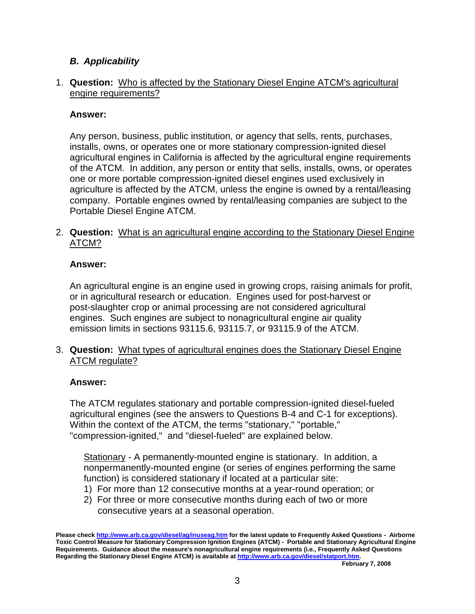# **B. Applicability**

# 1. **Question:** Who is affected by the Stationary Diesel Engine ATCM's agricultural engine requirements?

# **Answer:**

 Any person, business, public institution, or agency that sells, rents, purchases, agricultural engines in California is affected by the agricultural engine requirements agriculture is affected by the ATCM, unless the engine is owned by a rental/leasing company. Portable engines owned by rental/leasing companies are subject to the installs, owns, or operates one or more stationary compression-ignited diesel of the ATCM. In addition, any person or entity that sells, installs, owns, or operates one or more portable compression-ignited diesel engines used exclusively in Portable Diesel Engine ATCM.

 2. **Question:** What is an agricultural engine according to the Stationary Diesel Engine ATCM?

# **Answer:**

 post-slaughter crop or animal processing are not considered agricultural engines. Such engines are subject to nonagricultural engine air quality emission limits in sections 93115.6, 93115.7, or 93115.9 of the ATCM. An agricultural engine is an engine used in growing crops, raising animals for profit, or in agricultural research or education. Engines used for post-harvest or

 3. **Question:** What types of agricultural engines does the Stationary Diesel Engine ATCM regulate?

# **Answer:**

 The ATCM regulates stationary and portable compression-ignited diesel-fueled agricultural engines (see the answers to Questions B-4 and C-1 for exceptions). "compression-ignited," and "diesel-fueled" are explained below. Within the context of the ATCM, the terms "stationary," "portable,"

Stationary - A permanently-mounted engine is stationary. In addition, a nonpermanently-mounted engine (or series of engines performing the same function) is considered stationary if located at a particular site:

- 1) For more than 12 consecutive months at a year-round operation; or
- 2) For three or more consecutive months during each of two or more consecutive years at a seasonal operation.

 **Please check <http://www.arb.ca.gov/diesel/ag/inuseag.htm>for the latest update to Frequently Asked Questions - Airborne Toxic Control Measure for Stationary Compression Ignition Engines (ATCM) - Portable and Stationary Agricultural Engine Requirements. Guidance about the measure's nonagricultural engine requirements (i.e., Frequently Asked Questions Regarding the Stationary Diesel Engine ATCM) is available at<http://www.arb.ca.gov/diesel/statport.htm>.**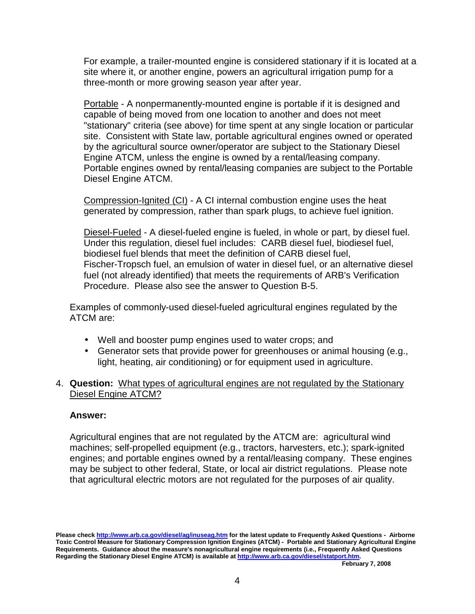three-month or more growing season year after year. For example, a trailer-mounted engine is considered stationary if it is located at a site where it, or another engine, powers an agricultural irrigation pump for a

 "stationary" criteria (see above) for time spent at any single location or particular Portable - A nonpermanently-mounted engine is portable if it is designed and capable of being moved from one location to another and does not meet site. Consistent with State law, portable agricultural engines owned or operated by the agricultural source owner/operator are subject to the Stationary Diesel Engine ATCM, unless the engine is owned by a rental/leasing company. Portable engines owned by rental/leasing companies are subject to the Portable Diesel Engine ATCM.

 Compression-Ignited (CI) - A CI internal combustion engine uses the heat generated by compression, rather than spark plugs, to achieve fuel ignition.

Diesel-Fueled - A diesel-fueled engine is fueled, in whole or part, by diesel fuel. biodiesel fuel blends that meet the definition of CARB diesel fuel, Fischer-Tropsch fuel, an emulsion of water in diesel fuel, or an alternative diesel Procedure. Please also see the answer to Question B-5. Under this regulation, diesel fuel includes: CARB diesel fuel, biodiesel fuel, fuel (not already identified) that meets the requirements of ARB's Verification

 Examples of commonly-used diesel-fueled agricultural engines regulated by the ATCM are:

- Well and booster pump engines used to water crops; and
- • Generator sets that provide power for greenhouses or animal housing (e.g., light, heating, air conditioning) or for equipment used in agriculture.
- 4. **Question:** What types of agricultural engines are not regulated by the Stationary Diesel Engine ATCM?

# **Answer:**

 Agricultural engines that are not regulated by the ATCM are: agricultural wind machines; self-propelled equipment (e.g., tractors, harvesters, etc.); spark-ignited engines; and portable engines owned by a rental/leasing company. These engines may be subject to other federal, State, or local air district regulations. Please note that agricultural electric motors are not regulated for the purposes of air quality.

 **Please check <http://www.arb.ca.gov/diesel/ag/inuseag.htm>for the latest update to Frequently Asked Questions - Airborne Toxic Control Measure for Stationary Compression Ignition Engines (ATCM) - Portable and Stationary Agricultural Engine Requirements. Guidance about the measure's nonagricultural engine requirements (i.e., Frequently Asked Questions Regarding the Stationary Diesel Engine ATCM) is available at<http://www.arb.ca.gov/diesel/statport.htm>.**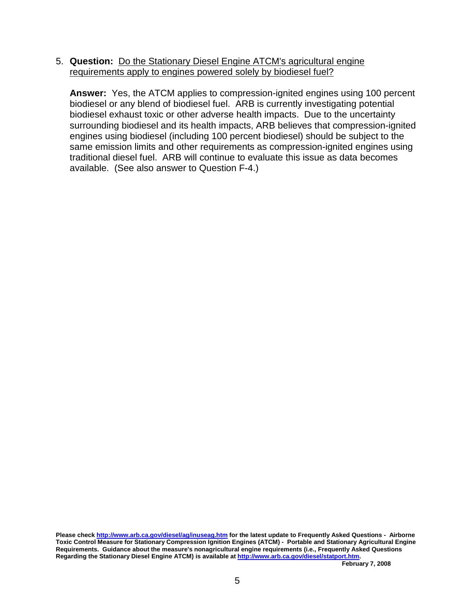5. **Question:** Do the Stationary Diesel Engine ATCM's agricultural engine requirements apply to engines powered solely by biodiesel fuel?

 **Answer:** Yes, the ATCM applies to compression-ignited engines using 100 percent biodiesel or any blend of biodiesel fuel. ARB is currently investigating potential biodiesel exhaust toxic or other adverse health impacts. Due to the uncertainty surrounding biodiesel and its health impacts, ARB believes that compression-ignited traditional diesel fuel. ARB will continue to evaluate this issue as data becomes available. (See also answer to Question F-4.) engines using biodiesel (including 100 percent biodiesel) should be subject to the same emission limits and other requirements as compression-ignited engines using

 **Please check <http://www.arb.ca.gov/diesel/ag/inuseag.htm>for the latest update to Frequently Asked Questions - Airborne Toxic Control Measure for Stationary Compression Ignition Engines (ATCM) - Portable and Stationary Agricultural Engine Requirements. Guidance about the measure's nonagricultural engine requirements (i.e., Frequently Asked Questions Regarding the Stationary Diesel Engine ATCM) is available at<http://www.arb.ca.gov/diesel/statport.htm>.**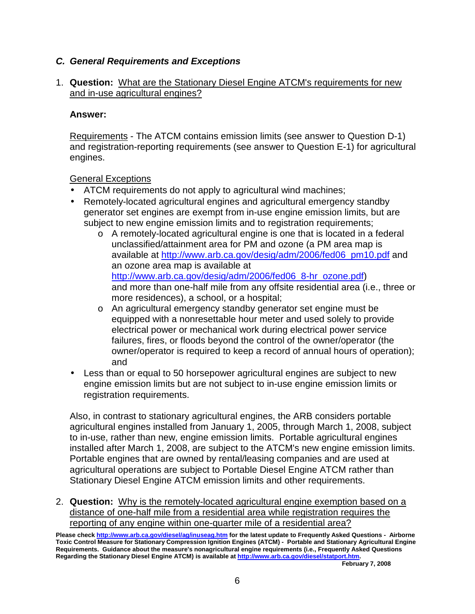# **C. General Requirements and Exceptions**

# 1. **Question:** What are the Stationary Diesel Engine ATCM's requirements for new and in-use agricultural engines?

# **Answer:**

Requirements - The ATCM contains emission limits (see answer to Question D-1) engines. and registration-reporting requirements (see answer to Question E-1) for agricultural

**General Exceptions** 

- ATCM requirements do not apply to agricultural wind machines;
- • Remotely-located agricultural engines and agricultural emergency standby generator set engines are exempt from in-use engine emission limits, but are subject to new engine emission limits and to registration requirements;
	- o A remotely-located agricultural engine is one that is located in a federal unclassified/attainment area for PM and ozone (a PM area map is available at [http://www.arb.ca.gov/desig/adm/2006/fed06\\_pm10.pdf](http://www.arb.ca.gov/desig/adm/2006/fed06_pm10.pdf) and an ozone area map is available at http://www.arb.ca.gov/desig/adm/2006/fed06\_8-hr\_ozone.pdf) <u>[http://www.arb.ca.gov/desig/adm/2006/fed06\\_8-hr\\_ozone.pdf](http://www.arb.ca.gov/desig/adm/2006/fed06_8-hr_ozone.pdf)</u>)<br>and more than one-half mile from any offsite residential area (i.e., three or more residences), a school, or a hospital;
	- o An agricultural emergency standby generator set engine must be equipped with a nonresettable hour meter and used solely to provide electrical power or mechanical work during electrical power service failures, fires, or floods beyond the control of the owner/operator (the owner/operator is required to keep a record of annual hours of operation); and
- • Less than or equal to 50 horsepower agricultural engines are subject to new engine emission limits but are not subject to in-use engine emission limits or registration requirements.

 registration requirements. Also, in contrast to stationary agricultural engines, the ARB considers portable agricultural engines installed from January 1, 2005, through March 1, 2008, subject to in-use, rather than new, engine emission limits. Portable agricultural engines installed after March 1, 2008, are subject to the ATCM's new engine emission limits. Portable engines that are owned by rental/leasing companies and are used at agricultural operations are subject to Portable Diesel Engine ATCM rather than Stationary Diesel Engine ATCM emission limits and other requirements.

 2. **Question:** Why is the remotely-located agricultural engine exemption based on a reporting of any engine within one-quarter mile of a residential area? distance of one-half mile from a residential area while registration requires the

 **Please check <http://www.arb.ca.gov/diesel/ag/inuseag.htm>for the latest update to Frequently Asked Questions - Airborne Toxic Control Measure for Stationary Compression Ignition Engines (ATCM) - Portable and Stationary Agricultural Engine Requirements. Guidance about the measure's nonagricultural engine requirements (i.e., Frequently Asked Questions Regarding the Stationary Diesel Engine ATCM) is available at<http://www.arb.ca.gov/diesel/statport.htm>.**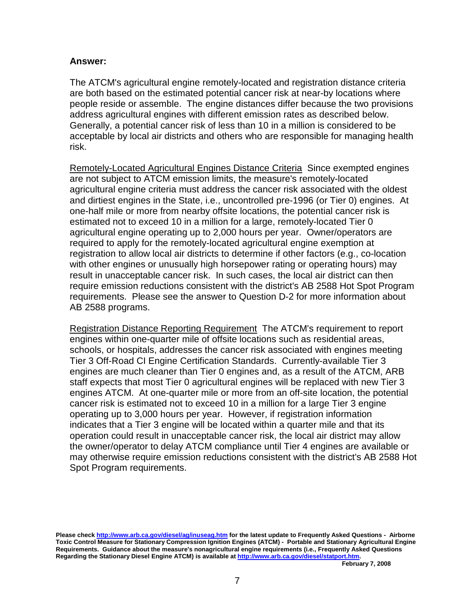# **Answer:**

 The ATCM's agricultural engine remotely-located and registration distance criteria Generally, a potential cancer risk of less than 10 in a million is considered to be acceptable by local air districts and others who are responsible for managing health are both based on the estimated potential cancer risk at near-by locations where people reside or assemble. The engine distances differ because the two provisions address agricultural engines with different emission rates as described below. risk.

Remotely-Located Agricultural Engines Distance Criteria Since exempted engines agricultural engine criteria must address the cancer risk associated with the oldest estimated not to exceed 10 in a million for a large, remotely-located Tier 0 agricultural engine operating up to 2,000 hours per year. Owner/operators are registration to allow local air districts to determine if other factors (e.g., co-location requirements. Please see the answer to Question D-2 for more information about are not subject to ATCM emission limits, the measure's remotely-located and dirtiest engines in the State, i.e., uncontrolled pre-1996 (or Tier 0) engines. At one-half mile or more from nearby offsite locations, the potential cancer risk is required to apply for the remotely-located agricultural engine exemption at with other engines or unusually high horsepower rating or operating hours) may result in unacceptable cancer risk. In such cases, the local air district can then require emission reductions consistent with the district's AB 2588 Hot Spot Program AB 2588 programs.

Registration Distance Reporting Requirement The ATCM's requirement to report operating up to 3,000 hours per year. However, if registration information indicates that a Tier 3 engine will be located within a quarter mile and that its operation could result in unacceptable cancer risk, the local air district may allow engines within one-quarter mile of offsite locations such as residential areas, schools, or hospitals, addresses the cancer risk associated with engines meeting Tier 3 Off-Road CI Engine Certification Standards. Currently-available Tier 3 engines are much cleaner than Tier 0 engines and, as a result of the ATCM, ARB staff expects that most Tier 0 agricultural engines will be replaced with new Tier 3 engines ATCM. At one-quarter mile or more from an off-site location, the potential cancer risk is estimated not to exceed 10 in a million for a large Tier 3 engine the owner/operator to delay ATCM compliance until Tier 4 engines are available or may otherwise require emission reductions consistent with the district's AB 2588 Hot Spot Program requirements.

 **Please check <http://www.arb.ca.gov/diesel/ag/inuseag.htm>for the latest update to Frequently Asked Questions - Airborne Toxic Control Measure for Stationary Compression Ignition Engines (ATCM) - Portable and Stationary Agricultural Engine Requirements. Guidance about the measure's nonagricultural engine requirements (i.e., Frequently Asked Questions Regarding the Stationary Diesel Engine ATCM) is available at<http://www.arb.ca.gov/diesel/statport.htm>.**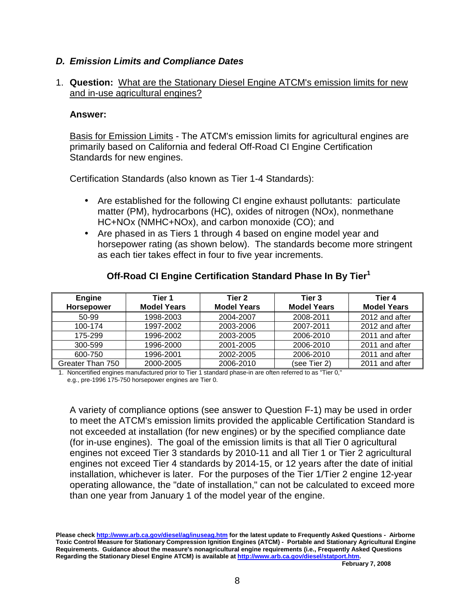# **D. Emission Limits and Compliance Dates**

# 1. **Question:** What are the Stationary Diesel Engine ATCM's emission limits for new and in-use agricultural engines?

### **Answer:**

 primarily based on California and federal Off-Road CI Engine Certification Standards for new engines. Basis for Emission Limits - The ATCM's emission limits for agricultural engines are

Certification Standards (also known as Tier 1-4 Standards):

- • Are established for the following CI engine exhaust pollutants: particulate matter (PM), hydrocarbons (HC), oxides of nitrogen (NOx), nonmethane HC+NOx (NMHC+NOx), and carbon monoxide (CO); and
- • Are phased in as Tiers 1 through 4 based on engine model year and horsepower rating (as shown below). The standards become more stringent as each tier takes effect in four to five year increments.

| Engine           | Tier 1             | Tier 2             | Tier 3             | Tier 4             |
|------------------|--------------------|--------------------|--------------------|--------------------|
| Horsepower       | <b>Model Years</b> | <b>Model Years</b> | <b>Model Years</b> | <b>Model Years</b> |
| 50-99            | 1998-2003          | 2004-2007          | 2008-2011          | 2012 and after     |
| 100-174          | 1997-2002          | 2003-2006          | 2007-2011          | 2012 and after     |
| 175-299          | 1996-2002          | 2003-2005          | 2006-2010          | 2011 and after     |
| 300-599          | 1996-2000          | 2001-2005          | 2006-2010          | 2011 and after     |
| 600-750          | 1996-2001          | 2002-2005          | 2006-2010          | 2011 and after     |
| Greater Than 750 | 2000-2005          | 2006-2010          | (see Tier 2)       | 2011 and after     |

# **Off-Road CI Engine Certification Standard Phase In By Tier<sup>1</sup>**

 1. Noncertified engines manufactured prior to Tier 1 standard phase-in are often referred to as "Tier 0," e.g., pre-1996 175-750 horsepower engines are Tier 0.

 installation, whichever is later. For the purposes of the Tier 1/Tier 2 engine 12-year operating allowance, the "date of installation," can not be calculated to exceed more A variety of compliance options (see answer to Question F-1) may be used in order to meet the ATCM's emission limits provided the applicable Certification Standard is not exceeded at installation (for new engines) or by the specified compliance date (for in-use engines). The goal of the emission limits is that all Tier 0 agricultural engines not exceed Tier 3 standards by 2010-11 and all Tier 1 or Tier 2 agricultural engines not exceed Tier 4 standards by 2014-15, or 12 years after the date of initial than one year from January 1 of the model year of the engine.

 **Please check <http://www.arb.ca.gov/diesel/ag/inuseag.htm>for the latest update to Frequently Asked Questions - Airborne Toxic Control Measure for Stationary Compression Ignition Engines (ATCM) - Portable and Stationary Agricultural Engine Requirements. Guidance about the measure's nonagricultural engine requirements (i.e., Frequently Asked Questions Regarding the Stationary Diesel Engine ATCM) is available at<http://www.arb.ca.gov/diesel/statport.htm>.**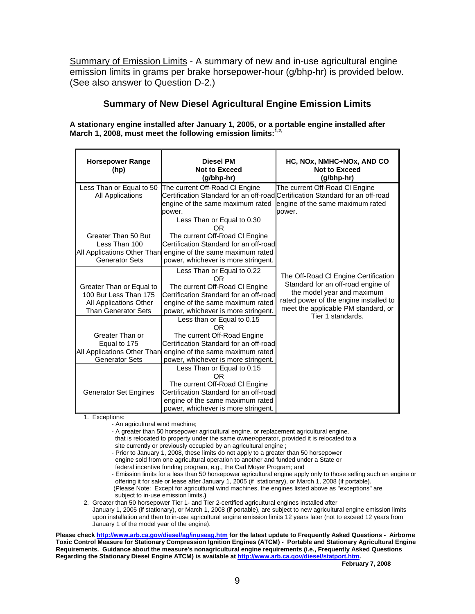Summary of Emission Limits - A summary of new and in-use agricultural engine emission limits in grams per brake horsepower-hour (g/bhp-hr) is provided below. (See also answer to Question D-2.)

# **Summary of New Diesel Agricultural Engine Emission Limits**

**A stationary engine installed after January 1, 2005, or a portable engine installed after March 1, 2008, must meet the following emission limits:1,2,** 

| <b>Horsepower Range</b><br>(hp) | <b>Diesel PM</b><br><b>Not to Exceed</b><br>(g/bhp-hr)                  | HC, NOx, NMHC+NOx, AND CO<br><b>Not to Exceed</b><br>(g/bhp-hr)               |
|---------------------------------|-------------------------------------------------------------------------|-------------------------------------------------------------------------------|
| Less Than or Equal to 50        | The current Off-Road CI Engine                                          | The current Off-Road CI Engine                                                |
| All Applications                |                                                                         | Certification Standard for an off-road Certification Standard for an off-road |
|                                 | engine of the same maximum rated<br>power.                              | engine of the same maximum rated<br>power.                                    |
| Greater Than 50 But             | Less Than or Equal to 0.30<br>OR<br>The current Off-Road CI Engine      |                                                                               |
| Less Than 100                   | Certification Standard for an off-road                                  |                                                                               |
| All Applications Other Than     | engine of the same maximum rated                                        |                                                                               |
| <b>Generator Sets</b>           | power, whichever is more stringent.                                     |                                                                               |
|                                 | Less Than or Equal to 0.22<br>0R                                        | The Off-Road CI Engine Certification                                          |
| Greater Than or Equal to        | The current Off-Road CI Engine                                          | Standard for an off-road engine of                                            |
| 100 But Less Than 175           | Certification Standard for an off-road                                  | the model year and maximum                                                    |
| All Applications Other          | engine of the same maximum rated                                        | rated power of the engine installed to                                        |
| <b>Than Generator Sets</b>      | power, whichever is more stringent.                                     | meet the applicable PM standard, or<br>Tier 1 standards.                      |
|                                 | Less than or Equal to 0.15<br>0R                                        |                                                                               |
| Greater Than or                 | The current Off-Road Engine                                             |                                                                               |
| Equal to 175                    | Certification Standard for an off-road                                  |                                                                               |
| All Applications Other Than     | engine of the same maximum rated                                        |                                                                               |
| <b>Generator Sets</b>           | power, whichever is more stringent.                                     |                                                                               |
|                                 | Less Than or Equal to 0.15                                              |                                                                               |
|                                 | 0R                                                                      |                                                                               |
|                                 | The current Off-Road CI Engine                                          |                                                                               |
| <b>Generator Set Engines</b>    | Certification Standard for an off-road                                  |                                                                               |
|                                 | engine of the same maximum rated<br>power, whichever is more stringent. |                                                                               |

1. Exceptions:

- An agricultural wind machine;

 - A greater than 50 horsepower agricultural engine, or replacement agricultural engine, that is relocated to property under the same owner/operator, provided it is relocated to a

site currently or previously occupied by an agricultural engine ;

- Prior to January 1, 2008, these limits do not apply to a greater than 50 horsepower engine sold from one agricultural operation to another and funded under a State or

federal incentive funding program, e.g., the Carl Moyer Program; and

- Emission limits for a less than 50 horsepower agricultural engine apply only to those selling such an engine or offering it for sale or lease after January 1, 2005 (if stationary), or March 1, 2008 (if portable).

(Please Note: Except for agricultural wind machines, the engines listed above as "exceptions" are subject to in-use emission limits**.)** 

2. Greater than 50 horsepower Tier 1- and Tier 2-certified agricultural engines installed after January 1, 2005 (if stationary), or March 1, 2008 (if portable), are subject to new agricultural engine emission limits upon installation and then to in-use agricultural engine emission limits 12 years later (not to exceed 12 years from January 1 of the model year of the engine).

 **Please check <http://www.arb.ca.gov/diesel/ag/inuseag.htm>for the latest update to Frequently Asked Questions - Airborne Toxic Control Measure for Stationary Compression Ignition Engines (ATCM) - Portable and Stationary Agricultural Engine Requirements. Guidance about the measure's nonagricultural engine requirements (i.e., Frequently Asked Questions Regarding the Stationary Diesel Engine ATCM) is available at<http://www.arb.ca.gov/diesel/statport.htm>.**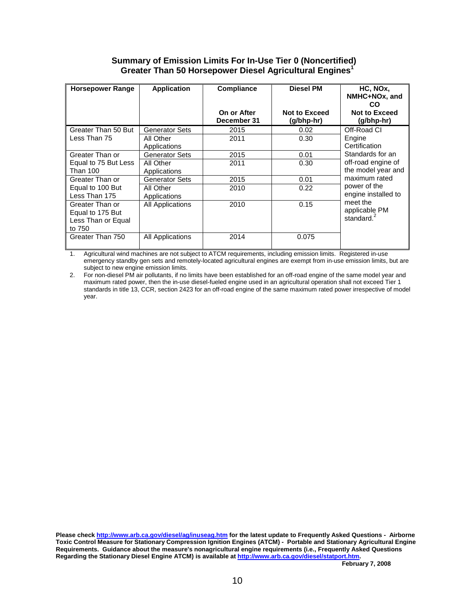### Greater Than 50 Horsepower Diesel Agricultural Engines<sup>1</sup> **Summary of Emission Limits For In-Use Tier 0 (Noncertified)**

| <b>Horsepower Range</b>                                             | <b>Application</b>        | <b>Compliance</b><br>On or After | <b>Diesel PM</b><br><b>Not to Exceed</b> | HC, NOx,<br>NMHC+NOx, and<br>CO.<br>Not to Exceed |
|---------------------------------------------------------------------|---------------------------|----------------------------------|------------------------------------------|---------------------------------------------------|
|                                                                     |                           | December 31                      | (g/bhp-hr)                               | (g/bhp-hr)                                        |
| Greater Than 50 But                                                 | <b>Generator Sets</b>     | 2015                             | 0.02                                     | Off-Road CI                                       |
| Less Than 75                                                        | All Other<br>Applications | 2011                             | 0.30                                     | Engine<br>Certification                           |
| Greater Than or                                                     | Generator Sets            | 2015                             | 0.01                                     | Standards for an                                  |
| Equal to 75 But Less<br><b>Than 100</b>                             | All Other<br>Applications | 2011                             | 0.30                                     | off-road engine of<br>the model year and          |
| Greater Than or                                                     | <b>Generator Sets</b>     | 2015                             | 0.01                                     | maximum rated                                     |
| Equal to 100 But<br>Less Than 175                                   | All Other<br>Applications | 2010                             | 0.22                                     | power of the<br>engine installed to               |
| Greater Than or<br>Equal to 175 But<br>Less Than or Equal<br>to 750 | All Applications          | 2010                             | 0.15                                     | meet the<br>applicable PM<br>standard. $^{2}$     |
| Greater Than 750                                                    | All Applications          | 2014                             | 0.075                                    |                                                   |

1. Agricultural wind machines are not subject to ATCM requirements, including emission limits. Registered in-use emergency standby gen sets and remotely-located agricultural engines are exempt from in-use emission limits, but are subject to new engine emission limits.

 maximum rated power, then the in-use diesel-fueled engine used in an agricultural operation shall not exceed Tier 1 standards in title 13, CCR, section 2423 for an off-road engine of the same maximum rated power irrespective of model year. 2. For non-diesel PM air pollutants, if no limits have been established for an off-road engine of the same model year and

 **Please check <http://www.arb.ca.gov/diesel/ag/inuseag.htm>for the latest update to Frequently Asked Questions - Airborne Toxic Control Measure for Stationary Compression Ignition Engines (ATCM) - Portable and Stationary Agricultural Engine Requirements. Guidance about the measure's nonagricultural engine requirements (i.e., Frequently Asked Questions Regarding the Stationary Diesel Engine ATCM) is available at<http://www.arb.ca.gov/diesel/statport.htm>.**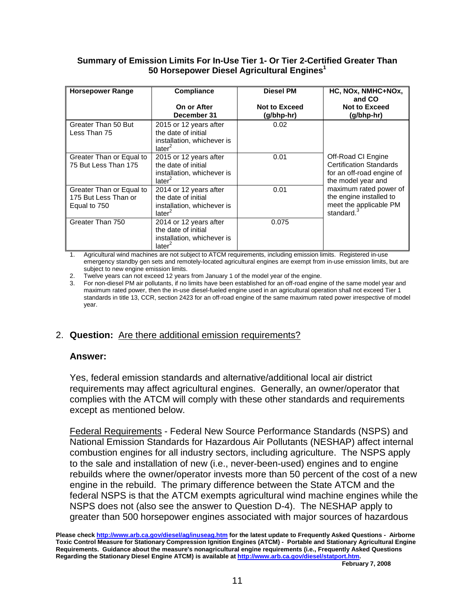### **Summary of Emission Limits For In-Use Tier 1- Or Tier 2-Certified Greater Than 50 Horsepower Diesel Agricultural Engines<sup>1</sup>**

| <b>Horsepower Range</b>                                          | <b>Compliance</b>                                                                                 | <b>Diesel PM</b>                   | HC, NOx, NMHC+NOx,<br>and CO                                                                            |
|------------------------------------------------------------------|---------------------------------------------------------------------------------------------------|------------------------------------|---------------------------------------------------------------------------------------------------------|
|                                                                  | On or After<br>December 31                                                                        | <b>Not to Exceed</b><br>(g/bhp-hr) | <b>Not to Exceed</b><br>(g/bhp-hr)                                                                      |
| Greater Than 50 But<br>Less Than 75                              | 2015 or 12 years after<br>the date of initial<br>installation, whichever is<br>later <sup>2</sup> | 0.02                               |                                                                                                         |
| Greater Than or Equal to<br>75 But Less Than 175                 | 2015 or 12 years after<br>the date of initial<br>installation, whichever is<br>later <sup>2</sup> | 0.01                               | Off-Road CI Engine<br><b>Certification Standards</b><br>for an off-road engine of<br>the model year and |
| Greater Than or Equal to<br>175 But Less Than or<br>Equal to 750 | 2014 or 12 years after<br>the date of initial<br>installation, whichever is<br>later <sup>2</sup> | 0.01                               | maximum rated power of<br>the engine installed to<br>meet the applicable PM<br>standard. <sup>3</sup>   |
| Greater Than 750                                                 | 2014 or 12 years after<br>the date of initial<br>installation, whichever is<br>later <sup>2</sup> | 0.075                              |                                                                                                         |

1. Agricultural wind machines are not subject to ATCM requirements, including emission limits. Registered in-use emergency standby gen sets and remotely-located agricultural engines are exempt from in-use emission limits, but are subject to new engine emission limits.

2. Twelve years can not exceed 12 years from January 1 of the model year of the engine.

 maximum rated power, then the in-use diesel-fueled engine used in an agricultural operation shall not exceed Tier 1 standards in title 13, CCR, section 2423 for an off-road engine of the same maximum rated power irrespective of model 3. For non-diesel PM air pollutants, if no limits have been established for an off-road engine of the same model year and year.

# 2. **Question:** Are there additional emission requirements?

# **Answer:**

 Yes, federal emission standards and alternative/additional local air district requirements may affect agricultural engines. Generally, an owner/operator that complies with the ATCM will comply with these other standards and requirements except as mentioned below.

 combustion engines for all industry sectors, including agriculture. The NSPS apply Federal Requirements - Federal New Source Performance Standards (NSPS) and National Emission Standards for Hazardous Air Pollutants (NESHAP) affect internal to the sale and installation of new (i.e., never-been-used) engines and to engine rebuilds where the owner/operator invests more than 50 percent of the cost of a new engine in the rebuild. The primary difference between the State ATCM and the federal NSPS is that the ATCM exempts agricultural wind machine engines while the NSPS does not (also see the answer to Question D-4). The NESHAP apply to greater than 500 horsepower engines associated with major sources of hazardous

 **Please check <http://www.arb.ca.gov/diesel/ag/inuseag.htm>for the latest update to Frequently Asked Questions - Airborne Toxic Control Measure for Stationary Compression Ignition Engines (ATCM) - Portable and Stationary Agricultural Engine Requirements. Guidance about the measure's nonagricultural engine requirements (i.e., Frequently Asked Questions Regarding the Stationary Diesel Engine ATCM) is available at<http://www.arb.ca.gov/diesel/statport.htm>.**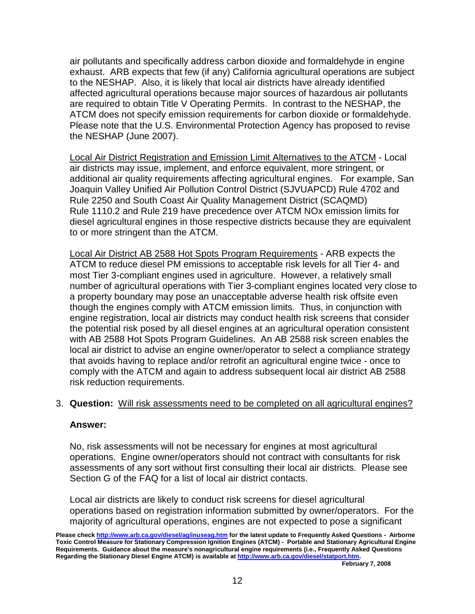exhaust. ARB expects that few (if any) California agricultural operations are subject air pollutants and specifically address carbon dioxide and formaldehyde in engine to the NESHAP. Also, it is likely that local air districts have already identified affected agricultural operations because major sources of hazardous air pollutants are required to obtain Title V Operating Permits. In contrast to the NESHAP, the ATCM does not specify emission requirements for carbon dioxide or formaldehyde. Please note that the U.S. Environmental Protection Agency has proposed to revise the NESHAP (June 2007).

 additional air quality requirements affecting agricultural engines. For example, San Rule 2250 and South Coast Air Quality Management District (SCAQMD) Local Air District Registration and Emission Limit Alternatives to the ATCM - Local air districts may issue, implement, and enforce equivalent, more stringent, or Joaquin Valley Unified Air Pollution Control District (SJVUAPCD) Rule 4702 and Rule 1110.2 and Rule 219 have precedence over ATCM NOx emission limits for diesel agricultural engines in those respective districts because they are equivalent to or more stringent than the ATCM.

 a property boundary may pose an unacceptable adverse health risk offsite even Local Air District AB 2588 Hot Spots Program Requirements - ARB expects the ATCM to reduce diesel PM emissions to acceptable risk levels for all Tier 4- and most Tier 3-compliant engines used in agriculture. However, a relatively small number of agricultural operations with Tier 3-compliant engines located very close to though the engines comply with ATCM emission limits. Thus, in conjunction with engine registration, local air districts may conduct health risk screens that consider the potential risk posed by all diesel engines at an agricultural operation consistent with AB 2588 Hot Spots Program Guidelines. An AB 2588 risk screen enables the local air district to advise an engine owner/operator to select a compliance strategy that avoids having to replace and/or retrofit an agricultural engine twice - once to comply with the ATCM and again to address subsequent local air district AB 2588 risk reduction requirements.

# 3. **Question:** Will risk assessments need to be completed on all agricultural engines?

### **Answer:**

 No, risk assessments will not be necessary for engines at most agricultural operations. Engine owner/operators should not contract with consultants for risk assessments of any sort without first consulting their local air districts. Please see Section G of the FAQ for a list of local air district contacts.

 operations based on registration information submitted by owner/operators. For the Local air districts are likely to conduct risk screens for diesel agricultural majority of agricultural operations, engines are not expected to pose a significant

 **Please check <http://www.arb.ca.gov/diesel/ag/inuseag.htm>for the latest update to Frequently Asked Questions - Airborne Toxic Control Measure for Stationary Compression Ignition Engines (ATCM) - Portable and Stationary Agricultural Engine Requirements. Guidance about the measure's nonagricultural engine requirements (i.e., Frequently Asked Questions Regarding the Stationary Diesel Engine ATCM) is available at<http://www.arb.ca.gov/diesel/statport.htm>.**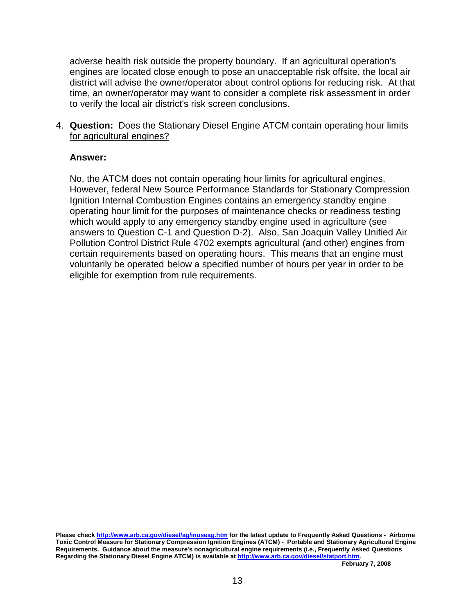adverse health risk outside the property boundary. If an agricultural operation's engines are located close enough to pose an unacceptable risk offsite, the local air district will advise the owner/operator about control options for reducing risk. At that time, an owner/operator may want to consider a complete risk assessment in order to verify the local air district's risk screen conclusions.

# 4. **Question:** Does the Stationary Diesel Engine ATCM contain operating hour limits for agricultural engines?

# **Answer:**

 No, the ATCM does not contain operating hour limits for agricultural engines. However, federal New Source Performance Standards for Stationary Compression operating hour limit for the purposes of maintenance checks or readiness testing Pollution Control District Rule 4702 exempts agricultural (and other) engines from voluntarily be operated below a specified number of hours per year in order to be Ignition Internal Combustion Engines contains an emergency standby engine which would apply to any emergency standby engine used in agriculture (see answers to Question C-1 and Question D-2). Also, San Joaquin Valley Unified Air certain requirements based on operating hours. This means that an engine must eligible for exemption from rule requirements.

 **Please check <http://www.arb.ca.gov/diesel/ag/inuseag.htm>for the latest update to Frequently Asked Questions - Airborne Toxic Control Measure for Stationary Compression Ignition Engines (ATCM) - Portable and Stationary Agricultural Engine Requirements. Guidance about the measure's nonagricultural engine requirements (i.e., Frequently Asked Questions Regarding the Stationary Diesel Engine ATCM) is available at<http://www.arb.ca.gov/diesel/statport.htm>.**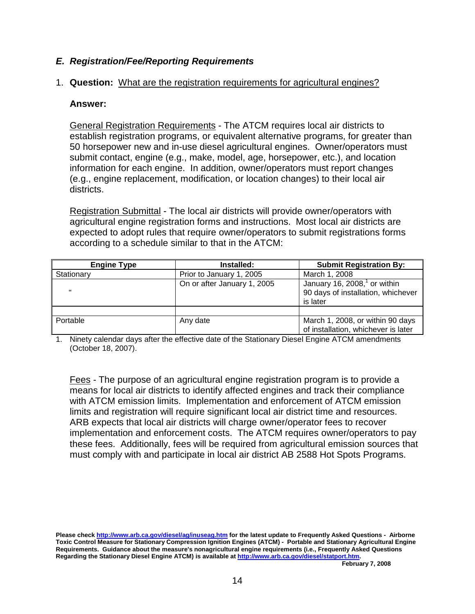# **E. Registration/Fee/Reporting Requirements**

# 1. **Question:** What are the registration requirements for agricultural engines?

# **Answer:**

 establish registration programs, or equivalent alternative programs, for greater than information for each engine. In addition, owner/operators must report changes General Registration Requirements - The ATCM requires local air districts to 50 horsepower new and in-use diesel agricultural engines. Owner/operators must submit contact, engine (e.g., make, model, age, horsepower, etc.), and location (e.g., engine replacement, modification, or location changes) to their local air districts.

Registration Submittal - The local air districts will provide owner/operators with agricultural engine registration forms and instructions. Most local air districts are expected to adopt rules that require owner/operators to submit registrations forms according to a schedule similar to that in the ATCM:

| <b>Engine Type</b> | Installed:                  | <b>Submit Registration By:</b>                                                     |
|--------------------|-----------------------------|------------------------------------------------------------------------------------|
| Stationary         | Prior to January 1, 2005    | March 1, 2008                                                                      |
|                    | On or after January 1, 2005 | January 16, 2008, $^1$ or within<br>90 days of installation, whichever<br>is later |
|                    |                             |                                                                                    |
| ∥ Portable         | Any date                    | March 1, 2008, or within 90 days<br>of installation, whichever is later            |

 1. Ninety calendar days after the effective date of the Stationary Diesel Engine ATCM amendments (October 18, 2007).

 implementation and enforcement costs. The ATCM requires owner/operators to pay Fees - The purpose of an agricultural engine registration program is to provide a means for local air districts to identify affected engines and track their compliance with ATCM emission limits. Implementation and enforcement of ATCM emission limits and registration will require significant local air district time and resources. ARB expects that local air districts will charge owner/operator fees to recover these fees. Additionally, fees will be required from agricultural emission sources that must comply with and participate in local air district AB 2588 Hot Spots Programs.

 **Please check <http://www.arb.ca.gov/diesel/ag/inuseag.htm>for the latest update to Frequently Asked Questions - Airborne Toxic Control Measure for Stationary Compression Ignition Engines (ATCM) - Portable and Stationary Agricultural Engine Requirements. Guidance about the measure's nonagricultural engine requirements (i.e., Frequently Asked Questions Regarding the Stationary Diesel Engine ATCM) is available at<http://www.arb.ca.gov/diesel/statport.htm>.**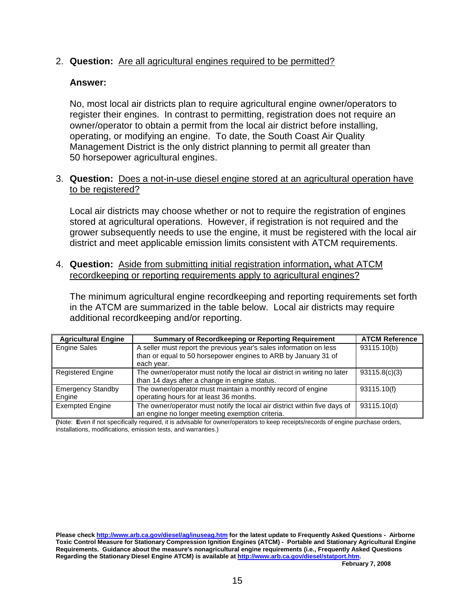# 2. **Question:** Are all agricultural engines required to be permitted?

# **Answer:**

 No, most local air districts plan to require agricultural engine owner/operators to owner/operator to obtain a permit from the local air district before installing, operating, or modifying an engine. To date, the South Coast Air Quality Management District is the only district planning to permit all greater than register their engines. In contrast to permitting, registration does not require an 50 horsepower agricultural engines.

# 3. **Question:** Does a not-in-use diesel engine stored at an agricultural operation have to be registered?

Local air districts may choose whether or not to require the registration of engines stored at agricultural operations. However, if registration is not required and the grower subsequently needs to use the engine, it must be registered with the local air district and meet applicable emission limits consistent with ATCM requirements.

 4. **Question:** Aside from submitting initial registration information**,** what ATCM recordkeeping or reporting requirements apply to agricultural engines?

 additional recordkeeping and/or reporting. The minimum agricultural engine recordkeeping and reporting requirements set forth in the ATCM are summarized in the table below. Local air districts may require

| <b>Agricultural Engine</b> | <b>Summary of Recordkeeping or Reporting Requirement</b>                  | <b>ATCM Reference</b> |
|----------------------------|---------------------------------------------------------------------------|-----------------------|
| <b>Engine Sales</b>        | A seller must report the previous year's sales information on less        | 93115.10(b)           |
|                            | than or equal to 50 horsepower engines to ARB by January 31 of            |                       |
|                            | each year.                                                                |                       |
| <b>Registered Engine</b>   | The owner/operator must notify the local air district in writing no later | 93115.8(c)(3)         |
|                            | than 14 days after a change in engine status.                             |                       |
| <b>Emergency Standby</b>   | The owner/operator must maintain a monthly record of engine               | 93115.10(f)           |
| Engine                     | operating hours for at least 36 months.                                   |                       |
| <b>Exempted Engine</b>     | The owner/operator must notify the local air district within five days of | 93115.10(d)           |
|                            | an engine no longer meeting exemption criteria.                           |                       |

 **(**Note: **E**ven if not specifically required, it is advisable for owner/operators to keep receipts/records of engine purchase orders, installations, modifications, emission tests, and warranties.)

 **Please check <http://www.arb.ca.gov/diesel/ag/inuseag.htm>for the latest update to Frequently Asked Questions - Airborne Toxic Control Measure for Stationary Compression Ignition Engines (ATCM) - Portable and Stationary Agricultural Engine Requirements. Guidance about the measure's nonagricultural engine requirements (i.e., Frequently Asked Questions Regarding the Stationary Diesel Engine ATCM) is available at<http://www.arb.ca.gov/diesel/statport.htm>.**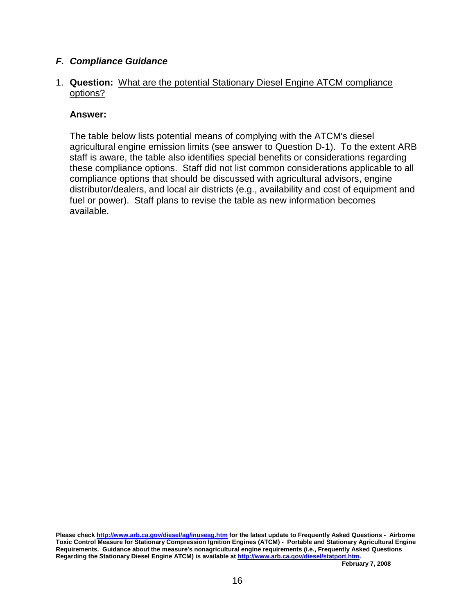# **F. Compliance Guidance**

# 1. **Question:** What are the potential Stationary Diesel Engine ATCM compliance options?

# **Answer:**

 agricultural engine emission limits (see answer to Question D-1). To the extent ARB compliance options that should be discussed with agricultural advisors, engine distributor/dealers, and local air districts (e.g., availability and cost of equipment and The table below lists potential means of complying with the ATCM's diesel staff is aware, the table also identifies special benefits or considerations regarding these compliance options. Staff did not list common considerations applicable to all fuel or power). Staff plans to revise the table as new information becomes available.

 **Please check <http://www.arb.ca.gov/diesel/ag/inuseag.htm>for the latest update to Frequently Asked Questions - Airborne Toxic Control Measure for Stationary Compression Ignition Engines (ATCM) - Portable and Stationary Agricultural Engine Requirements. Guidance about the measure's nonagricultural engine requirements (i.e., Frequently Asked Questions Regarding the Stationary Diesel Engine ATCM) is available at<http://www.arb.ca.gov/diesel/statport.htm>.**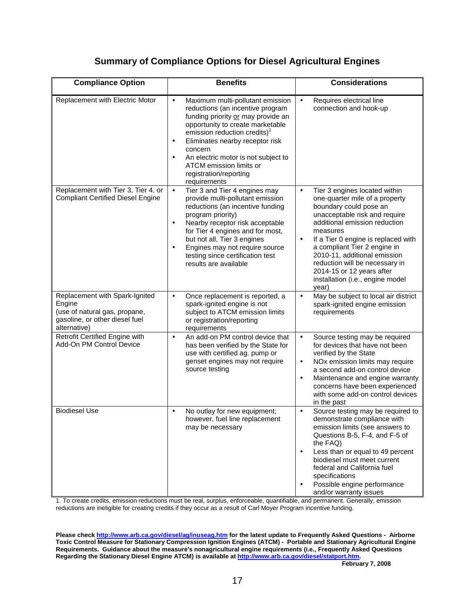# **Summary of Compliance Options for Diesel Agricultural Engines**

| <b>Compliance Option</b>                                                                                                    | <b>Benefits</b>                                                                                                                                                                                                                                                                                                                                                                             | <b>Considerations</b>                                                                                                                                                                                                                                                                                                                                                                                                |
|-----------------------------------------------------------------------------------------------------------------------------|---------------------------------------------------------------------------------------------------------------------------------------------------------------------------------------------------------------------------------------------------------------------------------------------------------------------------------------------------------------------------------------------|----------------------------------------------------------------------------------------------------------------------------------------------------------------------------------------------------------------------------------------------------------------------------------------------------------------------------------------------------------------------------------------------------------------------|
| Replacement with Electric Motor                                                                                             | Maximum multi-pollutant emission<br>$\bullet$<br>reductions (an incentive program<br>funding priority or may provide an<br>opportunity to create marketable<br>emission reduction credits) <sup>1</sup><br>Eliminates nearby receptor risk<br>$\bullet$<br>concern<br>An electric motor is not subject to<br>$\bullet$<br>ATCM emission limits or<br>registration/reporting<br>requirements | Requires electrical line<br>$\bullet$<br>connection and hook-up                                                                                                                                                                                                                                                                                                                                                      |
| Replacement with Tier 3, Tier 4, or<br><b>Compliant Certified Diesel Engine</b>                                             | Tier 3 and Tier 4 engines may<br>$\bullet$<br>provide multi-pollutant emission<br>reductions (an incentive funding<br>program priority)<br>Nearby receptor risk acceptable<br>$\bullet$<br>for Tier 4 engines and for most,<br>but not all, Tier 3 engines<br>Engines may not require source<br>$\bullet$<br>testing since certification test<br>results are available                      | Tier 3 engines located within<br>$\bullet$<br>one-quarter mile of a property<br>boundary could pose an<br>unacceptable risk and require<br>additional emission reduction<br>measures<br>If a Tier 0 engine is replaced with<br>$\bullet$<br>a compliant Tier 2 engine in<br>2010-11, additional emission<br>reduction will be necessary in<br>2014-15 or 12 years after<br>installation (i.e., engine model<br>year) |
| Replacement with Spark-Ignited<br>Engine<br>(use of natural gas, propane,<br>gasoline, or other diesel fuel<br>alternative) | Once replacement is reported, a<br>$\bullet$<br>spark-ignited engine is not<br>subject to ATCM emission limits<br>or registration/reporting<br>requirements                                                                                                                                                                                                                                 | May be subject to local air district<br>$\bullet$<br>spark-ignited engine emission<br>requirements                                                                                                                                                                                                                                                                                                                   |
| Retrofit Certified Engine with<br>Add-On PM Control Device                                                                  | An add-on PM control device that<br>$\bullet$<br>has been verified by the State for<br>use with certified ag. pump or<br>genset engines may not require<br>source testing                                                                                                                                                                                                                   | Source testing may be required<br>$\bullet$<br>for devices that have not been<br>verified by the State<br>NOx emission limits may require<br>$\bullet$<br>a second add-on control device<br>Maintenance and engine warranty<br>$\bullet$<br>concerns have been experienced<br>with some add-on control devices<br>in the past                                                                                        |
| <b>Biodiesel Use</b>                                                                                                        | No outlay for new equipment;<br>$\bullet$<br>however, fuel line replacement<br>may be necessary                                                                                                                                                                                                                                                                                             | Source testing may be required to<br>$\bullet$<br>demonstrate compliance with<br>emission limits (see answers to<br>Questions B-5, F-4, and F-5 of<br>the FAQ)<br>Less than or equal to 49 percent<br>$\bullet$<br>biodiesel must meet current<br>federal and California fuel<br>specifications<br>Possible engine performance<br>$\bullet$<br>and/or warranty issues                                                |

 1. To create credits, emission reductions must be real, surplus, enforceable, quantifiable, and permanent. Generally, emission reductions are ineligible for creating credits if they occur as a result of Carl Moyer Program incentive funding.

**Please check <http://www.arb.ca.gov/diesel/ag/inuseag.htm>for the latest update to Frequently Asked Questions - Airborne Toxic Control Measure for Stationary Compression Ignition Engines (ATCM) - Portable and Stationary Agricultural Engine Requirements. Guidance about the measure's nonagricultural engine requirements (i.e., Frequently Asked Questions Regarding the Stationary Diesel Engine ATCM) is available at<http://www.arb.ca.gov/diesel/statport.htm>.**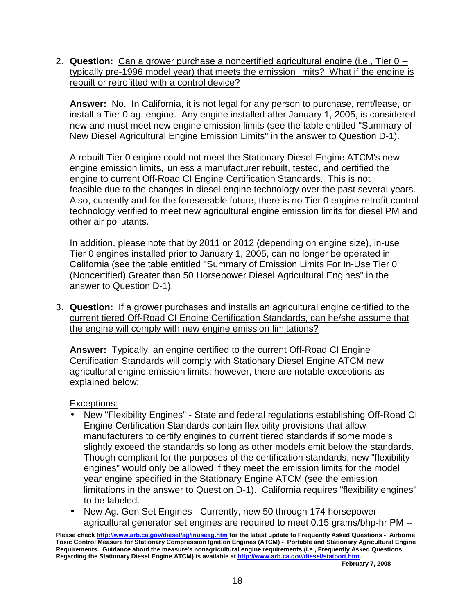2. **Question:** Can a grower purchase a noncertified agricultural engine (i.e., Tier 0 - typically pre-1996 model year) that meets the emission limits? What if the engine is rebuilt or retrofitted with a control device?

 **Answer:** No. In California, it is not legal for any person to purchase, rent/lease, or install a Tier 0 ag. engine. Any engine installed after January 1, 2005, is considered new and must meet new engine emission limits (see the table entitled "Summary of New Diesel Agricultural Engine Emission Limits" in the answer to Question D-1).

 engine to current Off-Road CI Engine Certification Standards. This is not technology verified to meet new agricultural engine emission limits for diesel PM and A rebuilt Tier 0 engine could not meet the Stationary Diesel Engine ATCM's new engine emission limits, unless a manufacturer rebuilt, tested, and certified the feasible due to the changes in diesel engine technology over the past several years. Also, currently and for the foreseeable future, there is no Tier 0 engine retrofit control other air pollutants.

 California (see the table entitled "Summary of Emission Limits For In-Use Tier 0 (Noncertified) Greater than 50 Horsepower Diesel Agricultural Engines" in the In addition, please note that by 2011 or 2012 (depending on engine size), in-use Tier 0 engines installed prior to January 1, 2005, can no longer be operated in answer to Question D-1).

 3. **Question:** If a grower purchases and installs an agricultural engine certified to the current tiered Off-Road CI Engine Certification Standards, can he/she assume that the engine will comply with new engine emission limitations?

 **Answer:** Typically, an engine certified to the current Off-Road CI Engine Certification Standards will comply with Stationary Diesel Engine ATCM new agricultural engine emission limits; however, there are notable exceptions as explained below:

# Exceptions:

- Engine Certification Standards contain flexibility provisions that allow manufacturers to certify engines to current tiered standards if some models slightly exceed the standards so long as other models emit below the standards. Though compliant for the purposes of the certification standards, new "flexibility engines" would only be allowed if they meet the emission limits for the model year engine specified in the Stationary Engine ATCM (see the emission limitations in the answer to Question D-1). California requires "flexibility engines" to be labeled. • New "Flexibility Engines" - State and federal regulations establishing Off-Road CI
- • New Ag. Gen Set Engines Currently, new 50 through 174 horsepower agricultural generator set engines are required to meet 0.15 grams/bhp-hr PM --

 **Requirements. Guidance about the measure's nonagricultural engine requirements (i.e., Frequently Asked Questions Regarding the Stationary Diesel Engine ATCM) is available at<http://www.arb.ca.gov/diesel/statport.htm>. Please check <http://www.arb.ca.gov/diesel/ag/inuseag.htm>for the latest update to Frequently Asked Questions - Airborne Toxic Control Measure for Stationary Compression Ignition Engines (ATCM) - Portable and Stationary Agricultural Engine**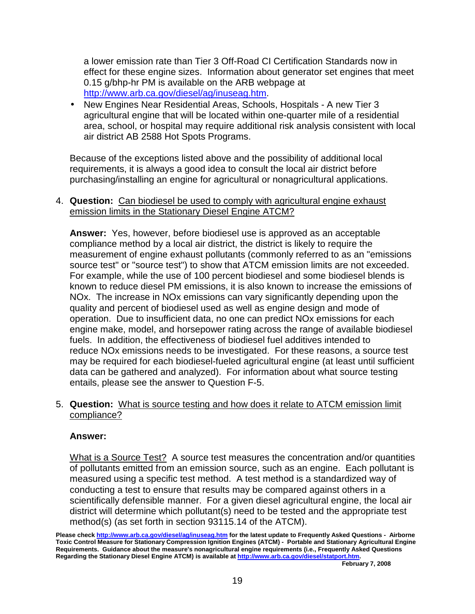a lower emission rate than Tier 3 Off-Road CI Certification Standards now in effect for these engine sizes. Information about generator set engines that meet 0.15 g/bhp-hr PM is available on the ARB webpage at <http://www.arb.ca.gov/diesel/ag/inuseag.htm>.

 • New Engines Near Residential Areas, Schools, Hospitals - A new Tier 3 agricultural engine that will be located within one-quarter mile of a residential area, school, or hospital may require additional risk analysis consistent with local air district AB 2588 Hot Spots Programs.

 Because of the exceptions listed above and the possibility of additional local requirements, it is always a good idea to consult the local air district before purchasing/installing an engine for agricultural or nonagricultural applications.

 4. **Question:** Can biodiesel be used to comply with agricultural engine exhaust emission limits in the Stationary Diesel Engine ATCM?

 **Answer:** Yes, however, before biodiesel use is approved as an acceptable compliance method by a local air district, the district is likely to require the measurement of engine exhaust pollutants (commonly referred to as an "emissions  NOx. The increase in NOx emissions can vary significantly depending upon the operation. Due to insufficient data, no one can predict NOx emissions for each source test" or "source test") to show that ATCM emission limits are not exceeded. For example, while the use of 100 percent biodiesel and some biodiesel blends is known to reduce diesel PM emissions, it is also known to increase the emissions of quality and percent of biodiesel used as well as engine design and mode of engine make, model, and horsepower rating across the range of available biodiesel fuels. In addition, the effectiveness of biodiesel fuel additives intended to reduce NOx emissions needs to be investigated. For these reasons, a source test may be required for each biodiesel-fueled agricultural engine (at least until sufficient data can be gathered and analyzed). For information about what source testing entails, please see the answer to Question F-5.

 5. **Question:** What is source testing and how does it relate to ATCM emission limit compliance?

# **Answer:**

What is a Source Test? A source test measures the concentration and/or quantities measured using a specific test method. A test method is a standardized way of conducting a test to ensure that results may be compared against others in a scientifically defensible manner. For a given diesel agricultural engine, the local air method(s) (as set forth in section [93115.14](https://93115.14) of the ATCM). of pollutants emitted from an emission source, such as an engine. Each pollutant is district will determine which pollutant(s) need to be tested and the appropriate test

 **Please check <http://www.arb.ca.gov/diesel/ag/inuseag.htm>for the latest update to Frequently Asked Questions - Airborne Toxic Control Measure for Stationary Compression Ignition Engines (ATCM) - Portable and Stationary Agricultural Engine Requirements. Guidance about the measure's nonagricultural engine requirements (i.e., Frequently Asked Questions Regarding the Stationary Diesel Engine ATCM) is available at<http://www.arb.ca.gov/diesel/statport.htm>.**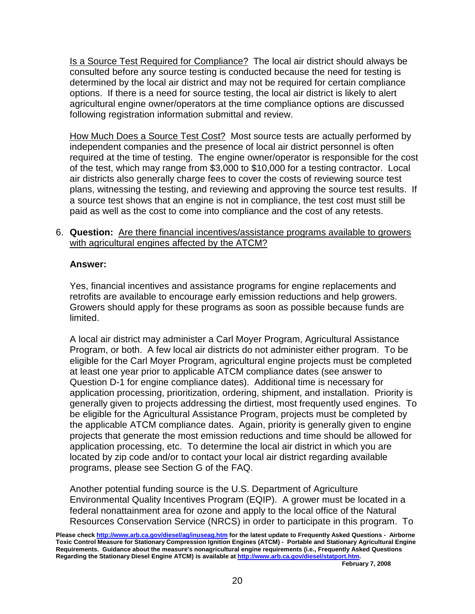consulted before any source testing is conducted because the need for testing is determined by the local air district and may not be required for certain compliance agricultural engine owner/operators at the time compliance options are discussed following registration information submittal and review. Is a Source Test Required for Compliance? The local air district should always be options. If there is a need for source testing, the local air district is likely to alert

 independent companies and the presence of local air district personnel is often How Much Does a Source Test Cost? Most source tests are actually performed by required at the time of testing. The engine owner/operator is responsible for the cost of the test, which may range from \$3,000 to \$10,000 for a testing contractor. Local air districts also generally charge fees to cover the costs of reviewing source test plans, witnessing the testing, and reviewing and approving the source test results. If a source test shows that an engine is not in compliance, the test cost must still be paid as well as the cost to come into compliance and the cost of any retests.

# 6. **Question:** Are there financial incentives/assistance programs available to growers with agricultural engines affected by the ATCM?

# **Answer:**

 Growers should apply for these programs as soon as possible because funds are Yes, financial incentives and assistance programs for engine replacements and retrofits are available to encourage early emission reductions and help growers. limited.

 Program, or both. A few local air districts do not administer either program. To be Question D-1 for engine compliance dates). Additional time is necessary for application processing, prioritization, ordering, shipment, and installation. Priority is generally given to projects addressing the dirtiest, most frequently used engines. To application processing, etc. To determine the local air district in which you are programs, please see Section G of the FAQ. A local air district may administer a Carl Moyer Program, Agricultural Assistance eligible for the Carl Moyer Program, agricultural engine projects must be completed at least one year prior to applicable ATCM compliance dates (see answer to be eligible for the Agricultural Assistance Program, projects must be completed by the applicable ATCM compliance dates. Again, priority is generally given to engine projects that generate the most emission reductions and time should be allowed for located by zip code and/or to contact your local air district regarding available

 Environmental Quality Incentives Program (EQIP). A grower must be located in a Resources Conservation Service (NRCS) in order to participate in this program. To Another potential funding source is the U.S. Department of Agriculture federal nonattainment area for ozone and apply to the local office of the Natural

 **Please check <http://www.arb.ca.gov/diesel/ag/inuseag.htm>for the latest update to Frequently Asked Questions - Airborne Toxic Control Measure for Stationary Compression Ignition Engines (ATCM) - Portable and Stationary Agricultural Engine Requirements. Guidance about the measure's nonagricultural engine requirements (i.e., Frequently Asked Questions Regarding the Stationary Diesel Engine ATCM) is available at<http://www.arb.ca.gov/diesel/statport.htm>.**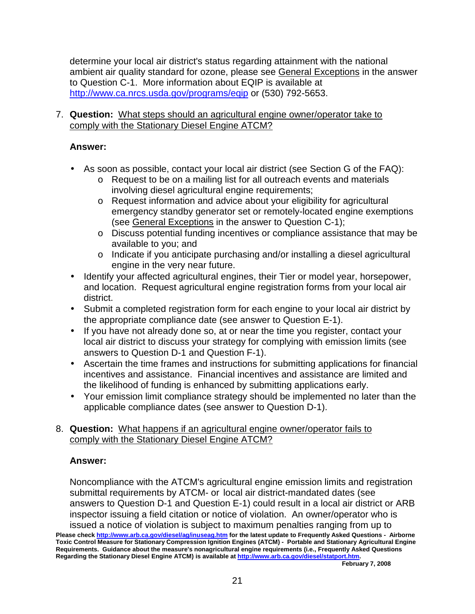determine your local air district's status regarding attainment with the national <http://www.ca.nrcs.usda.gov/programs/eqip> or (530) 792-5653. ambient air quality standard for ozone, please see General Exceptions in the answer to Question C-1. More information about EQIP is available at

# 7. **Question:** What steps should an agricultural engine owner/operator take to comply with the Stationary Diesel Engine ATCM?

# **Answer:**

- • As soon as possible, contact your local air district (see Section G of the FAQ):
	- o Request to be on a mailing list for all outreach events and materials involving diesel agricultural engine requirements;
	- o Request information and advice about your eligibility for agricultural emergency standby generator set or remotely-located engine exemptions (see General Exceptions in the answer to Question C-1);
	- o Discuss potential funding incentives or compliance assistance that may be available to you; and
	- o Indicate if you anticipate purchasing and/or installing a diesel agricultural engine in the very near future.
- $\bullet$  and location. Request agricultural engine registration forms from your local air • Identify your affected agricultural engines, their Tier or model year, horsepower, district.
- • Submit a completed registration form for each engine to your local air district by the appropriate compliance date (see answer to Question E-1).
- • If you have not already done so, at or near the time you register, contact your local air district to discuss your strategy for complying with emission limits (see answers to Question D-1 and Question F-1).
- • Ascertain the time frames and instructions for submitting applications for financial incentives and assistance. Financial incentives and assistance are limited and the likelihood of funding is enhanced by submitting applications early.
- • Your emission limit compliance strategy should be implemented no later than the applicable compliance dates (see answer to Question D-1).

# 8. **Question:** What happens if an agricultural engine owner/operator fails to comply with the Stationary Diesel Engine ATCM?

# **Answer:**

 Noncompliance with the ATCM's agricultural engine emission limits and registration submittal requirements by ATCM- or local air district-mandated dates (see inspector issuing a field citation or notice of violation. An owner/operator who is answers to Question D-1 and Question E-1) could result in a local air district or ARB issued a notice of violation is subject to maximum penalties ranging from up to

 **Requirements. Guidance about the measure's nonagricultural engine requirements (i.e., Frequently Asked Questions Regarding the Stationary Diesel Engine ATCM) is available at<http://www.arb.ca.gov/diesel/statport.htm>. Please check <http://www.arb.ca.gov/diesel/ag/inuseag.htm>for the latest update to Frequently Asked Questions - Airborne Toxic Control Measure for Stationary Compression Ignition Engines (ATCM) - Portable and Stationary Agricultural Engine**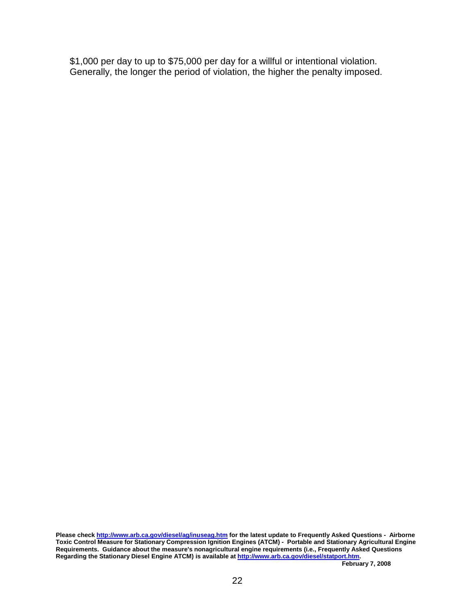Generally, the longer the period of violation, the higher the penalty imposed. \$1,000 per day to up to \$75,000 per day for a willful or intentional violation.

 **Requirements. Guidance about the measure's nonagricultural engine requirements (i.e., Frequently Asked Questions Regarding the Stationary Diesel Engine ATCM) is available at<http://www.arb.ca.gov/diesel/statport.htm>. Please check <http://www.arb.ca.gov/diesel/ag/inuseag.htm>for the latest update to Frequently Asked Questions - Airborne Toxic Control Measure for Stationary Compression Ignition Engines (ATCM) - Portable and Stationary Agricultural Engine**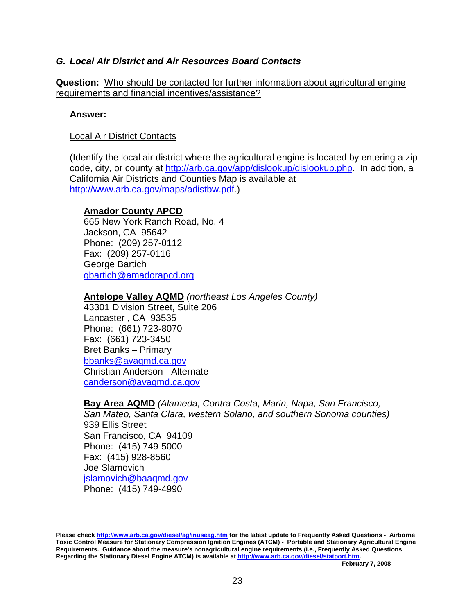# **G. Local Air District and Air Resources Board Contacts**

**Question:** Who should be contacted for further information about agricultural engine requirements and financial incentives/assistance?

### **Answer:**

# Local Air District Contacts

 California Air Districts and Counties Map is available at (Identify the local air district where the agricultural engine is located by entering a zip code, city, or county at<http://arb.ca.gov/app/dislookup/dislookup.php>. In addition, a <http://www.arb.ca.gov/maps/adistbw.pdf>.)

# **Amador County APCD**

 Jackson, CA 95642 Phone: (209) 257-0112 George Bartich 665 New York Ranch Road, No. 4 Fax: (209) 257-0116 [gbartich@amadorapcd.org](mailto:gbartich@amadorapcd.org)

# **Antelope Valley AQMD** (northeast Los Angeles County)

 43301 Division Street, Suite 206 Lancaster , CA 93535 Phone: (661) 723-8070 Christian Anderson - Alternate Fax: (661) 723-3450 Bret Banks – Primary [bbanks@avaqmd.ca.gov](mailto:bbanks@avaqmd.ca.gov) [canderson@avaqmd.ca.gov](mailto:canderson@avaqmd.ca.gov) 

 **Bay Area AQMD** (Alameda, Contra Costa, Marin, Napa, San Francisco, San Mateo, Santa Clara, western Solano, and southern Sonoma counties) Phone: (415) 749-5000 Phone: (415) 749-4990 939 Ellis Street San Francisco, CA 94109 Fax: (415) 928-8560 Joe Slamovich [jslamovich@baaqmd.gov](mailto:jslamovich@baaqmd.gov)

 **Please check <http://www.arb.ca.gov/diesel/ag/inuseag.htm>for the latest update to Frequently Asked Questions - Airborne Toxic Control Measure for Stationary Compression Ignition Engines (ATCM) - Portable and Stationary Agricultural Engine Requirements. Guidance about the measure's nonagricultural engine requirements (i.e., Frequently Asked Questions Regarding the Stationary Diesel Engine ATCM) is available at<http://www.arb.ca.gov/diesel/statport.htm>.**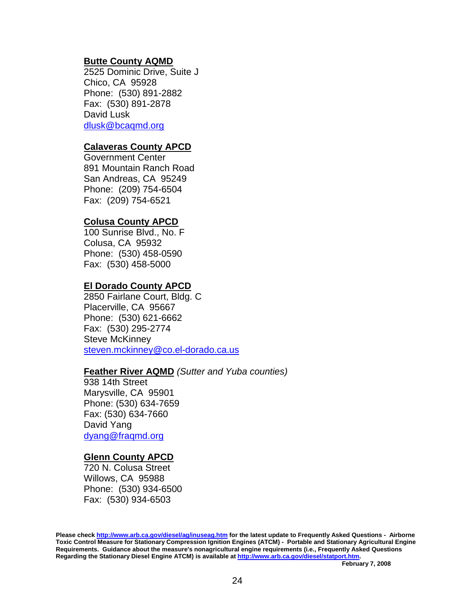### **Butte County AQMD**

 Chico, CA 95928 Phone: (530) 891-2882 David Lusk 2525 Dominic Drive, Suite J Fax: (530) 891-2878 [dlusk@bcaqmd.org](mailto:dlusk@bcaqmd.org) 

### **Calaveras County APCD**

 Government Center Phone: (209) 754-6504 891 Mountain Ranch Road San Andreas, CA 95249 Fax: (209) 754-6521

### **Colusa County APCD**

 Colusa, CA 95932 Phone: (530) 458-0590 100 Sunrise Blvd., No. F Fax: (530) 458-5000

### **El Dorado County APCD**

 Placerville, CA 95667 Phone: (530) 621-6662 Steve McKinney 2850 Fairlane Court, Bldg. C Fax: (530) 295-2774 [steven.mckinney@co.el-dorado.ca.us](mailto:steven.mckinney@co.el-dorado.ca.us)

### **Feather River AQMD** (Sutter and Yuba counties)

 Marysville, CA 95901 Phone: (530) 634-7659 David Yang [dyang@fraqmd.org](mailto:dyang@fraqmd.org) 938 14th Street Fax: (530) 634-7660

### **Glenn County APCD**

 720 N. Colusa Street Willows, CA 95988  Phone: (530) 934-6500 Fax: (530) 934-6503

 **Please check <http://www.arb.ca.gov/diesel/ag/inuseag.htm>for the latest update to Frequently Asked Questions - Airborne Toxic Control Measure for Stationary Compression Ignition Engines (ATCM) - Portable and Stationary Agricultural Engine Requirements. Guidance about the measure's nonagricultural engine requirements (i.e., Frequently Asked Questions Regarding the Stationary Diesel Engine ATCM) is available at<http://www.arb.ca.gov/diesel/statport.htm>.**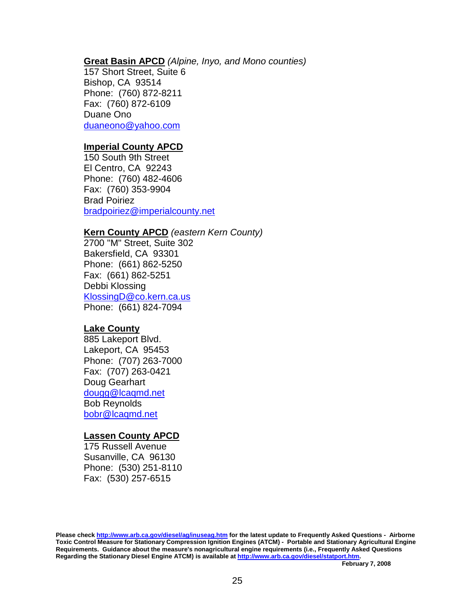#### **Great Basin APCD** (Alpine, Inyo, and Mono counties)

 Bishop, CA 93514 Phone: (760) 872-8211 Duane Ono 157 Short Street, Suite 6 Fax: (760) 872-6109 [duaneono@yahoo.com](mailto:duaneono@yahoo.com)

#### **Imperial County APCD**

 Phone: (760) 482-4606 150 South 9th Street El Centro, CA 92243 Fax: (760) 353-9904 Brad Poiriez [bradpoiriez@imperialcounty.net](mailto:bradpoiriez@imperialcounty.net) 

### **Kern County APCD** (eastern Kern County)

 Bakersfield, CA 93301 Phone: (661) 862-5250 Debbi Klossing Phone: (661) 824-7094 2700 "M" Street, Suite 302 Fax: (661) 862-5251 [KlossingD@co.kern.ca.us](mailto:KlossingD@co.kern.ca.us) 

#### **Lake County**

 Lakeport, CA 95453 Phone: (707) 263-7000 Doug Gearhart 885 Lakeport Blvd. Fax: (707) 263-0421 [dougg@lcaqmd.net](mailto:dougg@lcaqmd.net) Bob Reynolds [bobr@lcaqmd.net](mailto:bobr@lcaqmd.net)

#### **Lassen County APCD**

 175 Russell Avenue Susanville, CA 96130 Phone: (530) 251-8110 Fax: (530) 257-6515

 **Please check <http://www.arb.ca.gov/diesel/ag/inuseag.htm>for the latest update to Frequently Asked Questions - Airborne Toxic Control Measure for Stationary Compression Ignition Engines (ATCM) - Portable and Stationary Agricultural Engine Requirements. Guidance about the measure's nonagricultural engine requirements (i.e., Frequently Asked Questions Regarding the Stationary Diesel Engine ATCM) is available at<http://www.arb.ca.gov/diesel/statport.htm>.**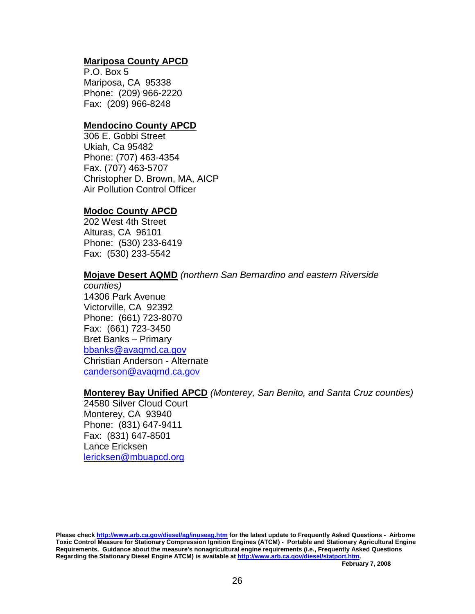# **Mariposa County APCD**

 Mariposa, CA 95338 Phone: (209) 966-2220 P.O. Box 5 Fax: (209) 966-8248

### **Mendocino County APCD**

 Ukiah, Ca 95482 Phone: (707) 463-4354 Christopher D. Brown, MA, AICP 306 E. Gobbi Street Fax. (707) 463-5707 Air Pollution Control Officer

# **Modoc County APCD**

 Alturas, CA 96101 Phone: (530) 233-6419 202 West 4th Street Fax: (530) 233-5542

### **Mojave Desert AQMD** (northern San Bernardino and eastern Riverside

 14306 Park Avenue Victorville, CA 92392 Phone: (661) 723-8070 Christian Anderson - Alternate counties) Fax: (661) 723-3450 Bret Banks – Primary [bbanks@avaqmd.ca.gov](mailto:bbanks@avaqmd.ca.gov) [canderson@avaqmd.ca.gov](mailto:canderson@avaqmd.ca.gov) 

### **Monterey Bay Unified APCD** (Monterey, San Benito, and Santa Cruz counties)

 24580 Silver Cloud Court Monterey, CA 93940 Phone: (831) 647-9411 Lance Ericksen Fax: (831) 647-8501 [lericksen@mbuapcd.org](mailto:lericksen@mbuapcd.org)

 **Please check <http://www.arb.ca.gov/diesel/ag/inuseag.htm>for the latest update to Frequently Asked Questions - Airborne Toxic Control Measure for Stationary Compression Ignition Engines (ATCM) - Portable and Stationary Agricultural Engine Requirements. Guidance about the measure's nonagricultural engine requirements (i.e., Frequently Asked Questions Regarding the Stationary Diesel Engine ATCM) is available at<http://www.arb.ca.gov/diesel/statport.htm>.**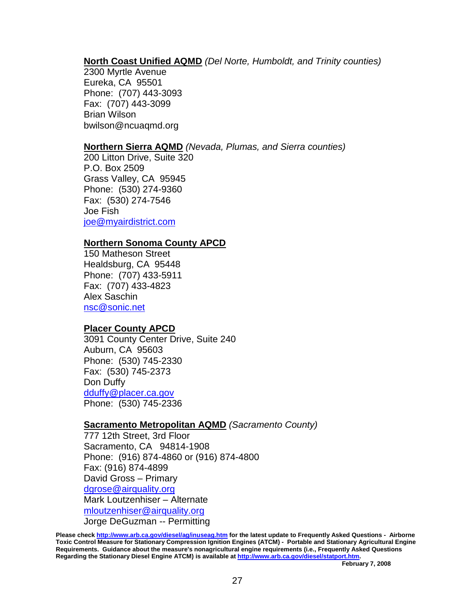# **North Coast Unified AQMD** (Del Norte, Humboldt, and Trinity counties)

 Eureka, CA 95501 Phone: (707) 443-3093 Brian Wilson 2300 Myrtle Avenue Fax: (707) 443-3099 [bwilson@ncuaqmd.org](mailto:bwilson@ncuaqmd.org)

### **Northern Sierra AQMD** (Nevada, Plumas, and Sierra counties)

 Grass Valley, CA 95945 Phone: (530) 274-9360 200 Litton Drive, Suite 320 P.O. Box 2509 Fax: (530) 274-7546 Joe Fish [joe@myairdistrict.com](mailto:joe@myairdistrict.com)

### **Northern Sonoma County APCD**

 Healdsburg, CA 95448 Phone: (707) 433-5911 150 Matheson Street Fax: (707) 433-4823 Alex Saschin [nsc@sonic.net](mailto:nsc@sonic.net) 

# **Placer County APCD**

 Auburn, CA 95603 Phone: (530) 745-2330 Phone: (530) 745-2336 3091 County Center Drive, Suite 240 Fax: (530) 745-2373 Don Duffy [dduffy@placer.ca.gov](mailto:dduffy@placer.ca.gov)

# **Sacramento Metropolitan AQMD** (Sacramento County)

 Sacramento, CA 94814-1908 Phone: (916) 874-4860 or (916) 874-4800 David Gross – Primary Jorge DeGuzman -- Permitting 777 12th Street, 3rd Floor Fax: (916) 874-4899 [dgrose@airquality.org](mailto:dgrose@airquality.org) Mark Loutzenhiser – Alternate [mloutzenhiser@airquality.org](mailto:mloutzenhiser@airquality.org) 

 **Please check <http://www.arb.ca.gov/diesel/ag/inuseag.htm>for the latest update to Frequently Asked Questions - Airborne Toxic Control Measure for Stationary Compression Ignition Engines (ATCM) - Portable and Stationary Agricultural Engine Requirements. Guidance about the measure's nonagricultural engine requirements (i.e., Frequently Asked Questions Regarding the Stationary Diesel Engine ATCM) is available at<http://www.arb.ca.gov/diesel/statport.htm>.**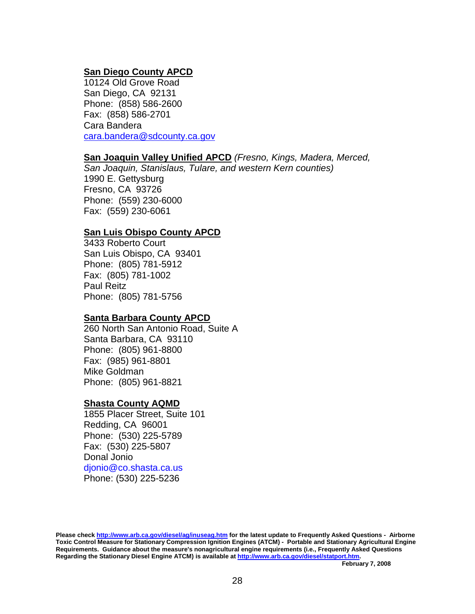# **San Diego County APCD**

 10124 Old Grove Road Phone: (858) 586-2600 San Diego, CA 92131 Fax: (858) 586-2701 Cara Bandera cara.bandera@sdcounty.ca.gov

# **San Joaquin Valley Unified APCD** (Fresno, Kings, Madera, Merced,

San Joaquin, Stanislaus, Tulare, and western Kern counties)

 Fresno, CA 93726 Phone: (559) 230-6000 1990 E. Gettysburg Fax: (559) 230-6061

# **San Luis Obispo County APCD**

 3433 Roberto Court Phone: (805) 781-5912 Phone: (805) 781-5756 San Luis Obispo, CA 93401 Fax: (805) 781-1002 Paul Reitz

### **Santa Barbara County APCD**

 Santa Barbara, CA 93110 Phone: (805) 961-8800 Phone: (805) 961-8821 260 North San Antonio Road, Suite A Fax: (985) 961-8801 Mike Goldman

### **Shasta County AQMD**

 1855 Placer Street, Suite 101 Redding, CA 96001 Phone: (530) 225-5789 Fax: (530) 225-5807 Donal Jonio Phone: (530) 225-5236 [djonio@co.shasta.ca.us](mailto:djonio@co.shasta.ca.us) 

 **Please check <http://www.arb.ca.gov/diesel/ag/inuseag.htm>for the latest update to Frequently Asked Questions - Airborne Toxic Control Measure for Stationary Compression Ignition Engines (ATCM) - Portable and Stationary Agricultural Engine Requirements. Guidance about the measure's nonagricultural engine requirements (i.e., Frequently Asked Questions Regarding the Stationary Diesel Engine ATCM) is available at<http://www.arb.ca.gov/diesel/statport.htm>.**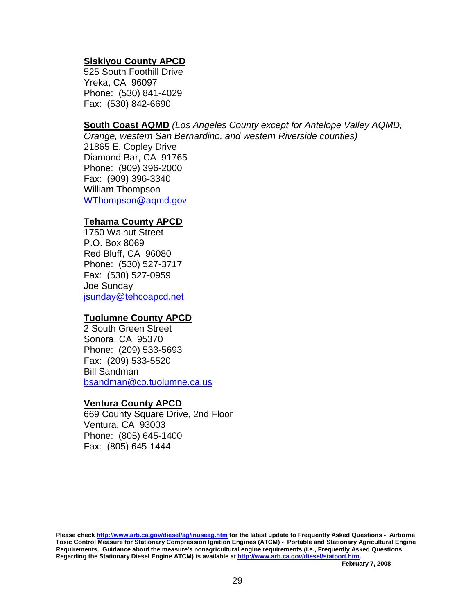### **Siskiyou County APCD**

 525 South Foothill Drive Yreka, CA 96097 Phone: (530) 841-4029 Fax: (530) 842-6690

# **South Coast AQMD** (Los Angeles County except for Antelope Valley AQMD,

 Orange, western San Bernardino, and western Riverside counties) 21865 E. Copley Drive Diamond Bar, CA 91765 Phone: (909) 396-2000 William Thompson Fax: (909) 396-3340

[WThompson@aqmd.gov](mailto:WThompson@aqmd.gov) 

### **Tehama County APCD**

 Phone: (530) 527-3717 1750 Walnut Street P.O. Box 8069 Red Bluff, CA 96080 Fax: (530) 527-0959 Joe Sunday [jsunday@tehcoapcd.net](mailto:jsunday@tehcoapcd.net) 

# **Tuolumne County APCD**

 Sonora, CA 95370 Phone: (209) 533-5693 [bsandman@co.tuolumne.ca.us](mailto:bsandman@co.tuolumne.ca.us) 2 South Green Street Fax: (209) 533-5520 Bill Sandman

### **Ventura County APCD**

 Ventura, CA 93003 Phone: (805) 645-1400 669 County Square Drive, 2nd Floor Fax: (805) 645-1444

 **Please check <http://www.arb.ca.gov/diesel/ag/inuseag.htm>for the latest update to Frequently Asked Questions - Airborne Toxic Control Measure for Stationary Compression Ignition Engines (ATCM) - Portable and Stationary Agricultural Engine Requirements. Guidance about the measure's nonagricultural engine requirements (i.e., Frequently Asked Questions Regarding the Stationary Diesel Engine ATCM) is available at<http://www.arb.ca.gov/diesel/statport.htm>.**